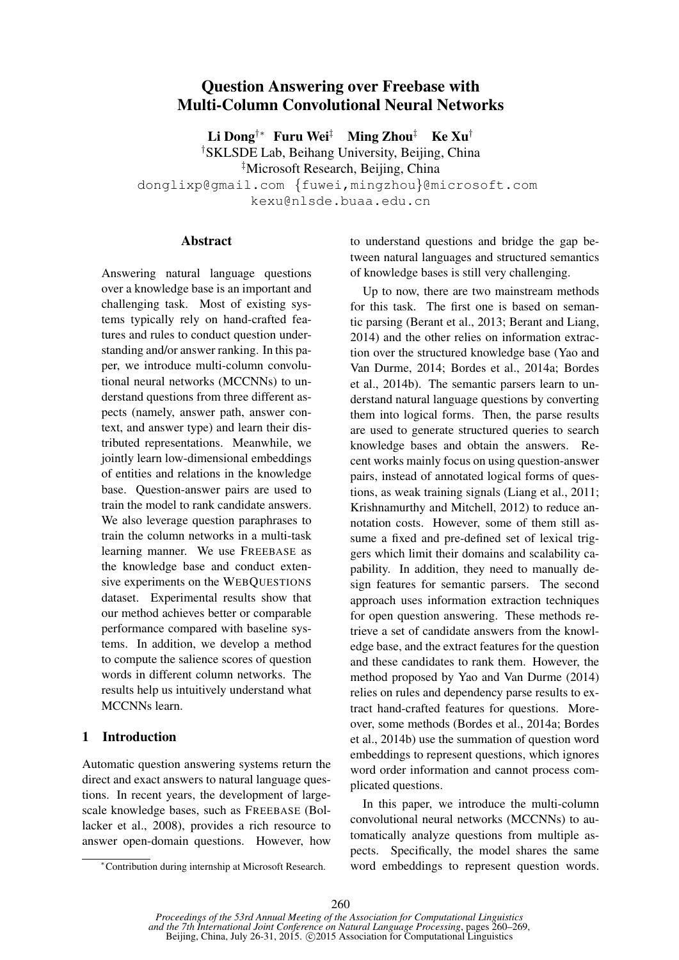# Question Answering over Freebase with Multi-Column Convolutional Neural Networks

Li Dong†∗ Furu Wei‡ Ming Zhou‡ Ke Xu†

†SKLSDE Lab, Beihang University, Beijing, China ‡Microsoft Research, Beijing, China

donglixp@gmail.com {fuwei,mingzhou}@microsoft.com kexu@nlsde.buaa.edu.cn

#### **Abstract**

Answering natural language questions over a knowledge base is an important and challenging task. Most of existing systems typically rely on hand-crafted features and rules to conduct question understanding and/or answer ranking. In this paper, we introduce multi-column convolutional neural networks (MCCNNs) to understand questions from three different aspects (namely, answer path, answer context, and answer type) and learn their distributed representations. Meanwhile, we jointly learn low-dimensional embeddings of entities and relations in the knowledge base. Question-answer pairs are used to train the model to rank candidate answers. We also leverage question paraphrases to train the column networks in a multi-task learning manner. We use FREEBASE as the knowledge base and conduct extensive experiments on the WEBQUESTIONS dataset. Experimental results show that our method achieves better or comparable performance compared with baseline systems. In addition, we develop a method to compute the salience scores of question words in different column networks. The results help us intuitively understand what MCCNNs learn.

## 1 Introduction

Automatic question answering systems return the direct and exact answers to natural language questions. In recent years, the development of largescale knowledge bases, such as FREEBASE (Bollacker et al., 2008), provides a rich resource to answer open-domain questions. However, how to understand questions and bridge the gap between natural languages and structured semantics of knowledge bases is still very challenging.

Up to now, there are two mainstream methods for this task. The first one is based on semantic parsing (Berant et al., 2013; Berant and Liang, 2014) and the other relies on information extraction over the structured knowledge base (Yao and Van Durme, 2014; Bordes et al., 2014a; Bordes et al., 2014b). The semantic parsers learn to understand natural language questions by converting them into logical forms. Then, the parse results are used to generate structured queries to search knowledge bases and obtain the answers. Recent works mainly focus on using question-answer pairs, instead of annotated logical forms of questions, as weak training signals (Liang et al., 2011; Krishnamurthy and Mitchell, 2012) to reduce annotation costs. However, some of them still assume a fixed and pre-defined set of lexical triggers which limit their domains and scalability capability. In addition, they need to manually design features for semantic parsers. The second approach uses information extraction techniques for open question answering. These methods retrieve a set of candidate answers from the knowledge base, and the extract features for the question and these candidates to rank them. However, the method proposed by Yao and Van Durme (2014) relies on rules and dependency parse results to extract hand-crafted features for questions. Moreover, some methods (Bordes et al., 2014a; Bordes et al., 2014b) use the summation of question word embeddings to represent questions, which ignores word order information and cannot process complicated questions.

In this paper, we introduce the multi-column convolutional neural networks (MCCNNs) to automatically analyze questions from multiple aspects. Specifically, the model shares the same word embeddings to represent question words.

<sup>∗</sup>Contribution during internship at Microsoft Research.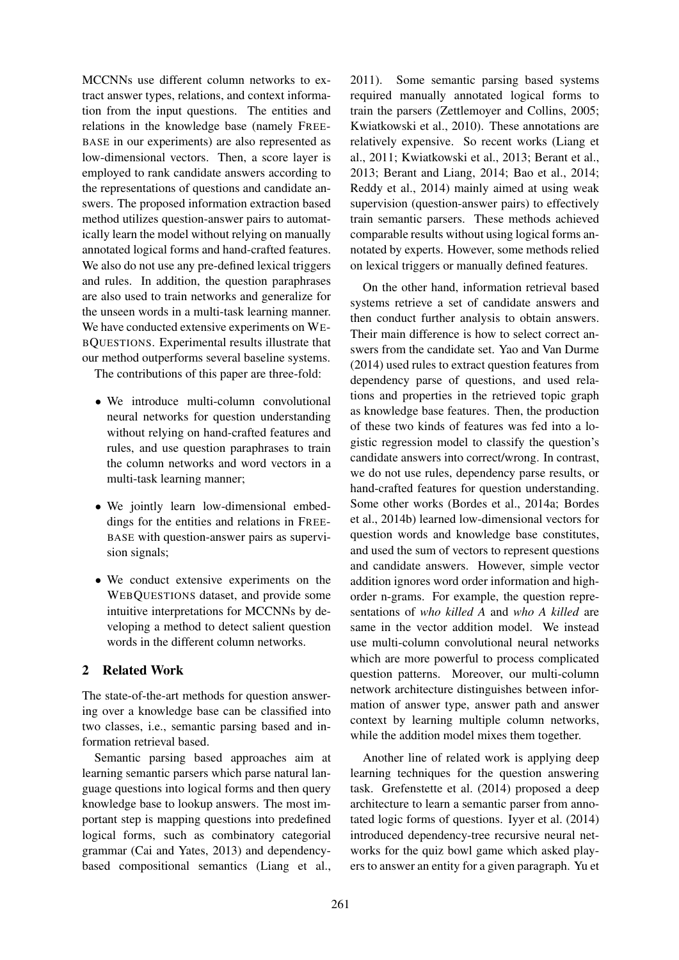MCCNNs use different column networks to extract answer types, relations, and context information from the input questions. The entities and relations in the knowledge base (namely FREE-BASE in our experiments) are also represented as low-dimensional vectors. Then, a score layer is employed to rank candidate answers according to the representations of questions and candidate answers. The proposed information extraction based method utilizes question-answer pairs to automatically learn the model without relying on manually annotated logical forms and hand-crafted features. We also do not use any pre-defined lexical triggers and rules. In addition, the question paraphrases are also used to train networks and generalize for the unseen words in a multi-task learning manner. We have conducted extensive experiments on WE-BQUESTIONS. Experimental results illustrate that our method outperforms several baseline systems.

The contributions of this paper are three-fold:

- We introduce multi-column convolutional neural networks for question understanding without relying on hand-crafted features and rules, and use question paraphrases to train the column networks and word vectors in a multi-task learning manner;
- We jointly learn low-dimensional embeddings for the entities and relations in FREE-BASE with question-answer pairs as supervision signals;
- We conduct extensive experiments on the WEBQUESTIONS dataset, and provide some intuitive interpretations for MCCNNs by developing a method to detect salient question words in the different column networks.

## 2 Related Work

The state-of-the-art methods for question answering over a knowledge base can be classified into two classes, i.e., semantic parsing based and information retrieval based.

Semantic parsing based approaches aim at learning semantic parsers which parse natural language questions into logical forms and then query knowledge base to lookup answers. The most important step is mapping questions into predefined logical forms, such as combinatory categorial grammar (Cai and Yates, 2013) and dependencybased compositional semantics (Liang et al.,

2011). Some semantic parsing based systems required manually annotated logical forms to train the parsers (Zettlemoyer and Collins, 2005; Kwiatkowski et al., 2010). These annotations are relatively expensive. So recent works (Liang et al., 2011; Kwiatkowski et al., 2013; Berant et al., 2013; Berant and Liang, 2014; Bao et al., 2014; Reddy et al., 2014) mainly aimed at using weak supervision (question-answer pairs) to effectively train semantic parsers. These methods achieved comparable results without using logical forms annotated by experts. However, some methods relied on lexical triggers or manually defined features.

On the other hand, information retrieval based systems retrieve a set of candidate answers and then conduct further analysis to obtain answers. Their main difference is how to select correct answers from the candidate set. Yao and Van Durme (2014) used rules to extract question features from dependency parse of questions, and used relations and properties in the retrieved topic graph as knowledge base features. Then, the production of these two kinds of features was fed into a logistic regression model to classify the question's candidate answers into correct/wrong. In contrast, we do not use rules, dependency parse results, or hand-crafted features for question understanding. Some other works (Bordes et al., 2014a; Bordes et al., 2014b) learned low-dimensional vectors for question words and knowledge base constitutes, and used the sum of vectors to represent questions and candidate answers. However, simple vector addition ignores word order information and highorder n-grams. For example, the question representations of *who killed A* and *who A killed* are same in the vector addition model. We instead use multi-column convolutional neural networks which are more powerful to process complicated question patterns. Moreover, our multi-column network architecture distinguishes between information of answer type, answer path and answer context by learning multiple column networks, while the addition model mixes them together.

Another line of related work is applying deep learning techniques for the question answering task. Grefenstette et al. (2014) proposed a deep architecture to learn a semantic parser from annotated logic forms of questions. Iyyer et al. (2014) introduced dependency-tree recursive neural networks for the quiz bowl game which asked players to answer an entity for a given paragraph. Yu et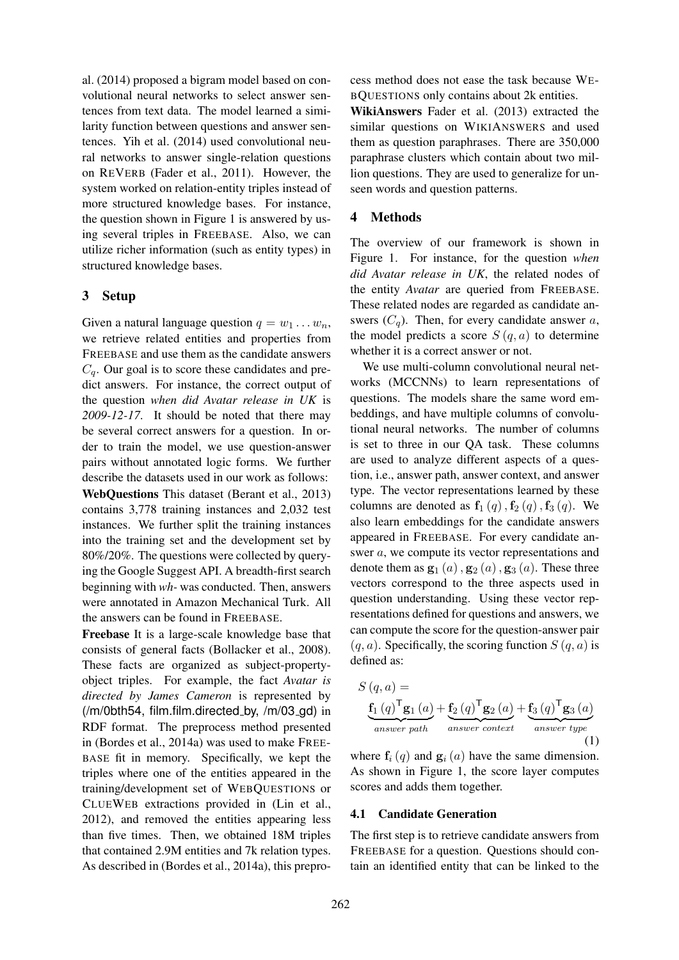al. (2014) proposed a bigram model based on convolutional neural networks to select answer sentences from text data. The model learned a similarity function between questions and answer sentences. Yih et al. (2014) used convolutional neural networks to answer single-relation questions on REVERB (Fader et al., 2011). However, the system worked on relation-entity triples instead of more structured knowledge bases. For instance, the question shown in Figure 1 is answered by using several triples in FREEBASE. Also, we can utilize richer information (such as entity types) in structured knowledge bases.

### 3 Setup

Given a natural language question  $q = w_1 \dots w_n$ , we retrieve related entities and properties from FREEBASE and use them as the candidate answers  $C_q$ . Our goal is to score these candidates and predict answers. For instance, the correct output of the question *when did Avatar release in UK* is *2009-12-17*. It should be noted that there may be several correct answers for a question. In order to train the model, we use question-answer pairs without annotated logic forms. We further describe the datasets used in our work as follows: WebQuestions This dataset (Berant et al., 2013)

contains 3,778 training instances and 2,032 test instances. We further split the training instances into the training set and the development set by 80%/20%. The questions were collected by querying the Google Suggest API. A breadth-first search beginning with *wh-* was conducted. Then, answers were annotated in Amazon Mechanical Turk. All the answers can be found in FREEBASE.

Freebase It is a large-scale knowledge base that consists of general facts (Bollacker et al., 2008). These facts are organized as subject-propertyobject triples. For example, the fact *Avatar is directed by James Cameron* is represented by (/m/0bth54, film.film.directed by, /m/03 gd) in RDF format. The preprocess method presented in (Bordes et al., 2014a) was used to make FREE-BASE fit in memory. Specifically, we kept the triples where one of the entities appeared in the training/development set of WEBQUESTIONS or CLUEWEB extractions provided in (Lin et al., 2012), and removed the entities appearing less than five times. Then, we obtained 18M triples that contained 2.9M entities and 7k relation types. As described in (Bordes et al., 2014a), this preprocess method does not ease the task because WE-BQUESTIONS only contains about 2k entities.

WikiAnswers Fader et al. (2013) extracted the similar questions on WIKIANSWERS and used them as question paraphrases. There are 350,000 paraphrase clusters which contain about two million questions. They are used to generalize for unseen words and question patterns.

### 4 Methods

The overview of our framework is shown in Figure 1. For instance, for the question *when did Avatar release in UK*, the related nodes of the entity *Avatar* are queried from FREEBASE. These related nodes are regarded as candidate answers  $(C_q)$ . Then, for every candidate answer a, the model predicts a score  $S(q, a)$  to determine whether it is a correct answer or not.

We use multi-column convolutional neural networks (MCCNNs) to learn representations of questions. The models share the same word embeddings, and have multiple columns of convolutional neural networks. The number of columns is set to three in our QA task. These columns are used to analyze different aspects of a question, i.e., answer path, answer context, and answer type. The vector representations learned by these columns are denoted as  $f_1(q)$ ,  $f_2(q)$ ,  $f_3(q)$ . We also learn embeddings for the candidate answers appeared in FREEBASE. For every candidate answer a, we compute its vector representations and denote them as  $\mathbf{g}_1(a)$ ,  $\mathbf{g}_2(a)$ ,  $\mathbf{g}_3(a)$ . These three vectors correspond to the three aspects used in question understanding. Using these vector representations defined for questions and answers, we can compute the score for the question-answer pair  $(q, a)$ . Specifically, the scoring function  $S(q, a)$  is defined as:

$$
S(q, a) = \underbrace{\mathbf{f}_1(q)^{\mathsf{T}} \mathbf{g}_1(a)}_{answer \ path} + \underbrace{\mathbf{f}_2(q)^{\mathsf{T}} \mathbf{g}_2(a)}_{answer \ context} + \underbrace{\mathbf{f}_3(q)^{\mathsf{T}} \mathbf{g}_3(a)}_{answer \ type}
$$
\n(1)

where  $f_i(q)$  and  $g_i(q)$  have the same dimension. As shown in Figure 1, the score layer computes scores and adds them together.

#### 4.1 Candidate Generation

The first step is to retrieve candidate answers from FREEBASE for a question. Questions should contain an identified entity that can be linked to the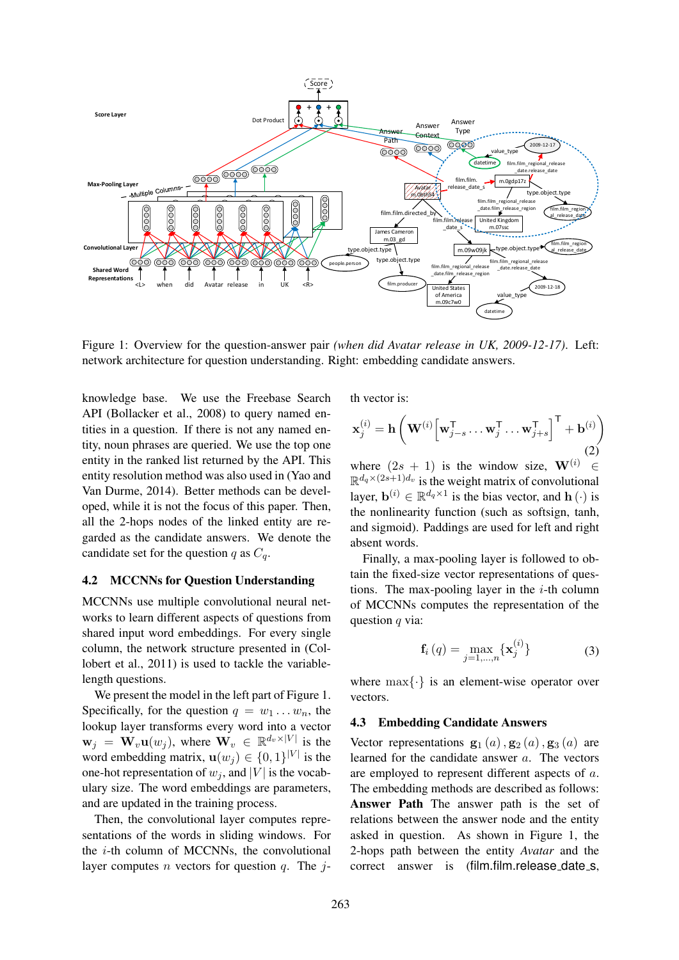

Figure 1: Overview for the question-answer pair *(when did Avatar release in UK, 2009-12-17)*. Left: network architecture for question understanding. Right: embedding candidate answers.

knowledge base. We use the Freebase Search API (Bollacker et al., 2008) to query named entities in a question. If there is not any named entity, noun phrases are queried. We use the top one entity in the ranked list returned by the API. This entity resolution method was also used in (Yao and Van Durme, 2014). Better methods can be developed, while it is not the focus of this paper. Then, all the 2-hops nodes of the linked entity are regarded as the candidate answers. We denote the candidate set for the question q as  $C_q$ .

### 4.2 MCCNNs for Question Understanding

MCCNNs use multiple convolutional neural networks to learn different aspects of questions from shared input word embeddings. For every single column, the network structure presented in (Collobert et al., 2011) is used to tackle the variablelength questions.

We present the model in the left part of Figure 1. Specifically, for the question  $q = w_1 \dots w_n$ , the lookup layer transforms every word into a vector  $\mathbf{w}_j = \mathbf{W}_v \mathbf{u}(w_j)$ , where  $\mathbf{W}_v \in \mathbb{R}^{d_v \times |V|}$  is the word embedding matrix,  $\mathbf{u}(w_j) \in \{0, 1\}^{|V|}$  is the one-hot representation of  $w_i$ , and |V| is the vocabulary size. The word embeddings are parameters, and are updated in the training process.

Then, the convolutional layer computes representations of the words in sliding windows. For the i-th column of MCCNNs, the convolutional layer computes *n* vectors for question *q*. The *j*- th vector is:

$$
\mathbf{x}_{j}^{(i)} = \mathbf{h} \left( \mathbf{W}^{(i)} \left[ \mathbf{w}_{j-s}^{\mathsf{T}} \dots \mathbf{w}_{j}^{\mathsf{T}} \dots \mathbf{w}_{j+s}^{\mathsf{T}} \right]^\mathsf{T} + \mathbf{b}^{(i)} \right)
$$
(2)

where  $(2s + 1)$  is the window size,  $\mathbf{W}^{(i)} \in$  $\mathbb{R}^{d_q \times (2s+1)d_v}$  is the weight matrix of convolutional layer,  $\mathbf{b}^{(i)} \in \mathbb{R}^{d_q \times 1}$  is the bias vector, and  $\mathbf{h}(\cdot)$  is the nonlinearity function (such as softsign, tanh, and sigmoid). Paddings are used for left and right absent words.

Finally, a max-pooling layer is followed to obtain the fixed-size vector representations of questions. The max-pooling layer in the  $i$ -th column of MCCNNs computes the representation of the question  $q$  via:

$$
\mathbf{f}_{i}(q) = \max_{j=1,...,n} \{ \mathbf{x}_{j}^{(i)} \}
$$
 (3)

where  $\max\{\cdot\}$  is an element-wise operator over vectors.

#### 4.3 Embedding Candidate Answers

Vector representations  $\mathbf{g}_1(a)$ ,  $\mathbf{g}_2(a)$ ,  $\mathbf{g}_3(a)$  are learned for the candidate answer a. The vectors are employed to represent different aspects of a. The embedding methods are described as follows: Answer Path The answer path is the set of relations between the answer node and the entity asked in question. As shown in Figure 1, the 2-hops path between the entity *Avatar* and the correct answer is (film.film.release\_date\_s,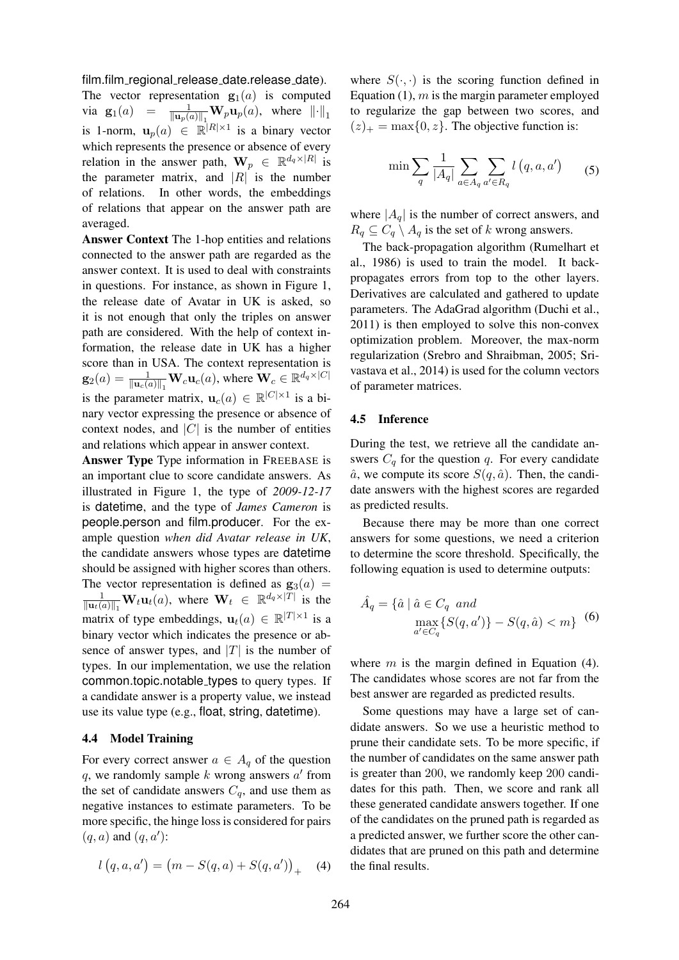film.film\_regional\_release\_date.release\_date). The vector representation  $\mathbf{g}_1(a)$  is computed via  $\mathbf{g}_1(a) =$  $\frac{1}{\|\mathbf{u}_p(a)\|_1} \mathbf{W}_p \mathbf{u}_p(a)$ , where  $\|\cdot\|_1$ is 1-norm,  $\mathbf{u}_p(a) \in \mathbb{R}^{|R| \times 1}$  is a binary vector which represents the presence or absence of every relation in the answer path,  $\mathbf{W}_p \in \mathbb{R}^{d_q \times |R|}$  is the parameter matrix, and  $|R|$  is the number of relations. In other words, the embeddings of relations that appear on the answer path are averaged.

Answer Context The 1-hop entities and relations connected to the answer path are regarded as the answer context. It is used to deal with constraints in questions. For instance, as shown in Figure 1, the release date of Avatar in UK is asked, so it is not enough that only the triples on answer path are considered. With the help of context information, the release date in UK has a higher score than in USA. The context representation is  $\mathbf{g}_2(a) = \frac{1}{\|\mathbf{u}_c(a)\|_1} \mathbf{W}_c \mathbf{u}_c(a)$ , where  $\mathbf{W}_c \in \mathbb{R}^{d_q \times |C|}$ is the parameter matrix,  $\mathbf{u}_c(a) \in \mathbb{R}^{|C| \times 1}$  is a binary vector expressing the presence or absence of context nodes, and  $|C|$  is the number of entities and relations which appear in answer context.

Answer Type Type information in FREEBASE is an important clue to score candidate answers. As illustrated in Figure 1, the type of *2009-12-17* is datetime, and the type of *James Cameron* is people.person and film.producer. For the example question *when did Avatar release in UK*, the candidate answers whose types are datetime should be assigned with higher scores than others. The vector representation is defined as  $\mathbf{g}_3(a)$  =  $\frac{1}{\|\mathbf{u}_t(a)\|_1} \mathbf{W}_t \mathbf{u}_t(a)$ , where  $\mathbf{W}_t \in \mathbb{R}^{d_q \times |T|}$  is the matrix of type embeddings,  $\mathbf{u}_t(a) \in \mathbb{R}^{|T| \times 1}$  is a binary vector which indicates the presence or absence of answer types, and  $|T|$  is the number of types. In our implementation, we use the relation common.topic.notable types to query types. If a candidate answer is a property value, we instead use its value type (e.g., float, string, datetime).

#### 4.4 Model Training

For every correct answer  $a \in A_q$  of the question q, we randomly sample  $k$  wrong answers  $a'$  from the set of candidate answers  $C_q$ , and use them as negative instances to estimate parameters. To be more specific, the hinge loss is considered for pairs  $(q, a)$  and  $(q, a')$ :

$$
l(q, a, a') = (m - S(q, a) + S(q, a'))_{+}
$$
 (4)

where  $S(\cdot, \cdot)$  is the scoring function defined in Equation  $(1)$ ,  $m$  is the margin parameter employed to regularize the gap between two scores, and  $(z)_+$  = max $\{0, z\}$ . The objective function is:

$$
\min \sum_{q} \frac{1}{|A_q|} \sum_{a \in A_q} \sum_{a' \in R_q} l\left(q, a, a'\right) \qquad (5)
$$

where  $|A_q|$  is the number of correct answers, and  $R_q \subseteq C_q \setminus A_q$  is the set of k wrong answers.

The back-propagation algorithm (Rumelhart et al., 1986) is used to train the model. It backpropagates errors from top to the other layers. Derivatives are calculated and gathered to update parameters. The AdaGrad algorithm (Duchi et al., 2011) is then employed to solve this non-convex optimization problem. Moreover, the max-norm regularization (Srebro and Shraibman, 2005; Srivastava et al., 2014) is used for the column vectors of parameter matrices.

#### 4.5 Inference

During the test, we retrieve all the candidate answers  $C_q$  for the question q. For every candidate  $\hat{a}$ , we compute its score  $S(q, \hat{a})$ . Then, the candidate answers with the highest scores are regarded as predicted results.

Because there may be more than one correct answers for some questions, we need a criterion to determine the score threshold. Specifically, the following equation is used to determine outputs:

$$
\hat{A}_q = \{ \hat{a} \mid \hat{a} \in C_q \text{ and } \max_{a' \in C_q} \{ S(q, a') \} - S(q, \hat{a}) < m \} \tag{6}
$$

where  $m$  is the margin defined in Equation (4). The candidates whose scores are not far from the best answer are regarded as predicted results.

Some questions may have a large set of candidate answers. So we use a heuristic method to prune their candidate sets. To be more specific, if the number of candidates on the same answer path is greater than 200, we randomly keep 200 candidates for this path. Then, we score and rank all these generated candidate answers together. If one of the candidates on the pruned path is regarded as a predicted answer, we further score the other candidates that are pruned on this path and determine the final results.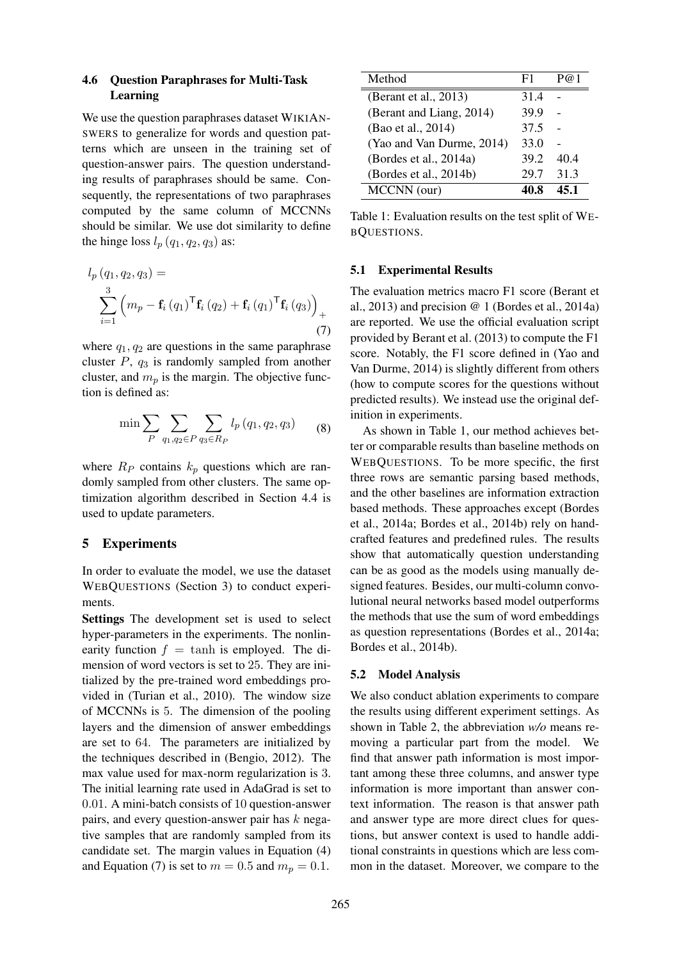### 4.6 Question Paraphrases for Multi-Task Learning

We use the question paraphrases dataset WIKIAN-SWERS to generalize for words and question patterns which are unseen in the training set of question-answer pairs. The question understanding results of paraphrases should be same. Consequently, the representations of two paraphrases computed by the same column of MCCNNs should be similar. We use dot similarity to define the hinge loss  $l_p$  ( $q_1$ ,  $q_2$ ,  $q_3$ ) as:

$$
l_{p}(q_{1}, q_{2}, q_{3}) = \sum_{i=1}^{3} (m_{p} - \mathbf{f}_{i}(q_{1})^{\mathsf{T}} \mathbf{f}_{i}(q_{2}) + \mathbf{f}_{i}(q_{1})^{\mathsf{T}} \mathbf{f}_{i}(q_{3}))_{+}
$$
\n(7)

where  $q_1, q_2$  are questions in the same paraphrase cluster  $P$ ,  $q_3$  is randomly sampled from another cluster, and  $m_p$  is the margin. The objective function is defined as:

$$
\min \sum_{P} \sum_{q_1, q_2 \in P} \sum_{q_3 \in R_P} l_p(q_1, q_2, q_3) \tag{8}
$$

where  $R_P$  contains  $k_p$  questions which are randomly sampled from other clusters. The same optimization algorithm described in Section 4.4 is used to update parameters.

### 5 Experiments

In order to evaluate the model, we use the dataset WEBQUESTIONS (Section 3) to conduct experiments.

Settings The development set is used to select hyper-parameters in the experiments. The nonlinearity function  $f = \tanh$  is employed. The dimension of word vectors is set to 25. They are initialized by the pre-trained word embeddings provided in (Turian et al., 2010). The window size of MCCNNs is 5. The dimension of the pooling layers and the dimension of answer embeddings are set to 64. The parameters are initialized by the techniques described in (Bengio, 2012). The max value used for max-norm regularization is 3. The initial learning rate used in AdaGrad is set to 0.01. A mini-batch consists of 10 question-answer pairs, and every question-answer pair has  $k$  negative samples that are randomly sampled from its candidate set. The margin values in Equation (4) and Equation (7) is set to  $m = 0.5$  and  $m_p = 0.1$ .

| Method                    | F1   |      |
|---------------------------|------|------|
| (Berant et al., 2013)     | 31.4 |      |
| (Berant and Liang, 2014)  | 39.9 |      |
| (Bao et al., 2014)        | 37.5 |      |
| (Yao and Van Durme, 2014) | 33.0 |      |
| (Bordes et al., 2014a)    | 39.2 | 404  |
| (Bordes et al., 2014b)    | 29.7 | 31.3 |
| MCCNN (our)               |      |      |

Table 1: Evaluation results on the test split of WE-BQUESTIONS.

#### 5.1 Experimental Results

The evaluation metrics macro F1 score (Berant et al., 2013) and precision  $@1$  (Bordes et al., 2014a) are reported. We use the official evaluation script provided by Berant et al. (2013) to compute the F1 score. Notably, the F1 score defined in (Yao and Van Durme, 2014) is slightly different from others (how to compute scores for the questions without predicted results). We instead use the original definition in experiments.

As shown in Table 1, our method achieves better or comparable results than baseline methods on WEBQUESTIONS. To be more specific, the first three rows are semantic parsing based methods, and the other baselines are information extraction based methods. These approaches except (Bordes et al., 2014a; Bordes et al., 2014b) rely on handcrafted features and predefined rules. The results show that automatically question understanding can be as good as the models using manually designed features. Besides, our multi-column convolutional neural networks based model outperforms the methods that use the sum of word embeddings as question representations (Bordes et al., 2014a; Bordes et al., 2014b).

#### 5.2 Model Analysis

We also conduct ablation experiments to compare the results using different experiment settings. As shown in Table 2, the abbreviation *w/o* means removing a particular part from the model. We find that answer path information is most important among these three columns, and answer type information is more important than answer context information. The reason is that answer path and answer type are more direct clues for questions, but answer context is used to handle additional constraints in questions which are less common in the dataset. Moreover, we compare to the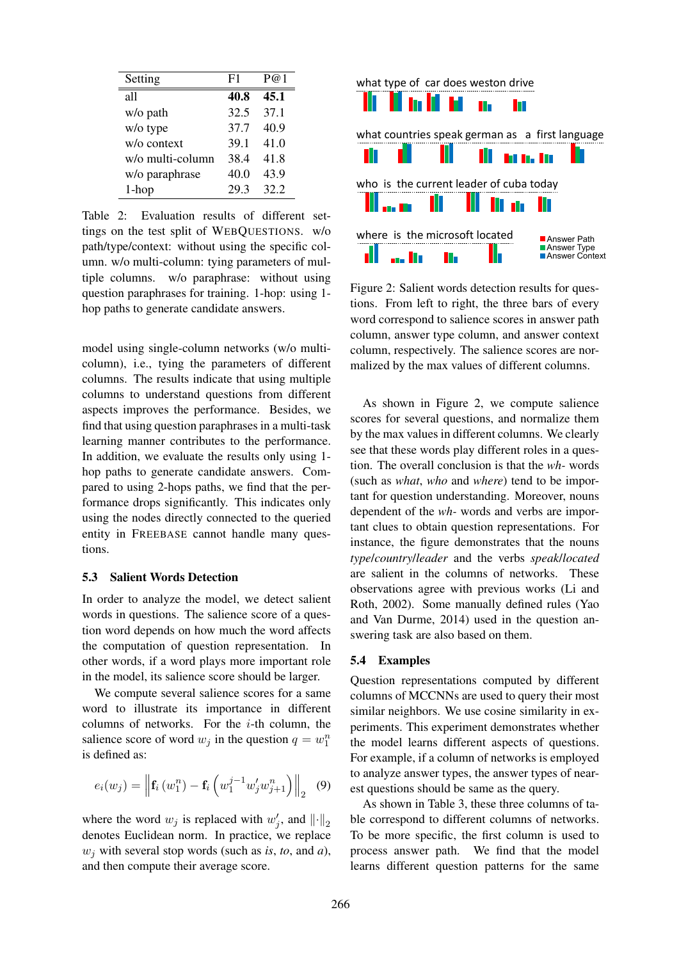| Setting                | F1   | P@1  |
|------------------------|------|------|
| all                    | 40.8 | 45.1 |
| w/o path               | 32.5 | 37.1 |
| w/o type               | 37.7 | 40.9 |
| $w$ / $\alpha$ context | 39.1 | 41.0 |
| w/o multi-column       | 38.4 | 41.8 |
| w/o paraphrase         | 40.0 | 43.9 |
| 1-hop                  | 29.3 | 32.2 |

Table 2: Evaluation results of different settings on the test split of WEBQUESTIONS. w/o path/type/context: without using the specific column. w/o multi-column: tying parameters of multiple columns. w/o paraphrase: without using question paraphrases for training. 1-hop: using 1 hop paths to generate candidate answers.

model using single-column networks (w/o multicolumn), i.e., tying the parameters of different columns. The results indicate that using multiple columns to understand questions from different aspects improves the performance. Besides, we find that using question paraphrases in a multi-task learning manner contributes to the performance. In addition, we evaluate the results only using 1 hop paths to generate candidate answers. Compared to using 2-hops paths, we find that the performance drops significantly. This indicates only using the nodes directly connected to the queried entity in FREEBASE cannot handle many questions.

#### 5.3 Salient Words Detection

In order to analyze the model, we detect salient words in questions. The salience score of a question word depends on how much the word affects the computation of question representation. In other words, if a word plays more important role in the model, its salience score should be larger.

We compute several salience scores for a same word to illustrate its importance in different columns of networks. For the  $i$ -th column, the salience score of word  $w_j$  in the question  $q = w_1^n$ is defined as:

$$
e_i(w_j) = \left\| \mathbf{f}_i(w_1^n) - \mathbf{f}_i\left(w_1^{j-1} w_j' w_{j+1}^n\right) \right\|_2 \quad (9)
$$

where the word  $w_j$  is replaced with  $w'_j$ , and  $\left\| \cdot \right\|_2$ denotes Euclidean norm. In practice, we replace  $w_i$  with several stop words (such as *is*, *to*, and *a*), and then compute their average score.



Figure 2: Salient words detection results for questions. From left to right, the three bars of every word correspond to salience scores in answer path column, answer type column, and answer context column, respectively. The salience scores are normalized by the max values of different columns.

As shown in Figure 2, we compute salience scores for several questions, and normalize them by the max values in different columns. We clearly see that these words play different roles in a question. The overall conclusion is that the *wh-* words (such as *what*, *who* and *where*) tend to be important for question understanding. Moreover, nouns dependent of the *wh-* words and verbs are important clues to obtain question representations. For instance, the figure demonstrates that the nouns *type*/*country*/*leader* and the verbs *speak*/*located* are salient in the columns of networks. These observations agree with previous works (Li and Roth, 2002). Some manually defined rules (Yao and Van Durme, 2014) used in the question answering task are also based on them.

#### 5.4 Examples

Question representations computed by different columns of MCCNNs are used to query their most similar neighbors. We use cosine similarity in experiments. This experiment demonstrates whether the model learns different aspects of questions. For example, if a column of networks is employed to analyze answer types, the answer types of nearest questions should be same as the query.

As shown in Table 3, these three columns of table correspond to different columns of networks. To be more specific, the first column is used to process answer path. We find that the model learns different question patterns for the same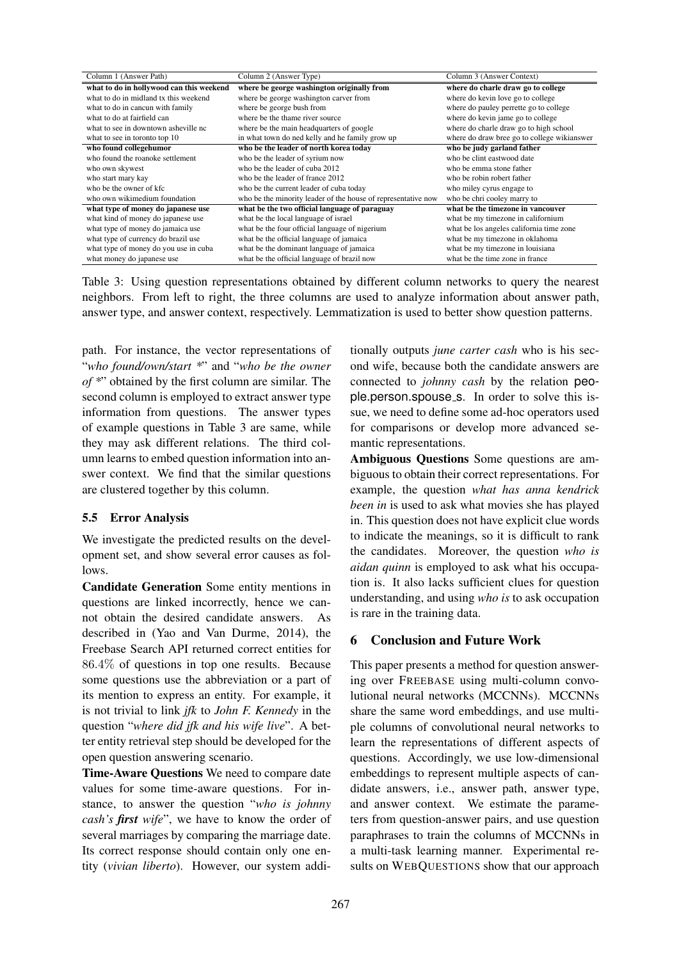| Column 1 (Answer Path)                   | Column 2 (Answer Type)                                        | Column 3 (Answer Context)                   |
|------------------------------------------|---------------------------------------------------------------|---------------------------------------------|
| what to do in hollywood can this weekend | where be george washington originally from                    | where do charle draw go to college          |
| what to do in midland tx this weekend    | where be george washington carver from                        | where do kevin love go to college           |
| what to do in cancun with family         | where be george bush from                                     | where do pauley perrette go to college      |
| what to do at fairfield can              | where be the thame river source                               | where do kevin jame go to college           |
| what to see in downtown asheville nc     | where be the main headquarters of google                      | where do charle draw go to high school      |
| what to see in toronto top 10            | in what town do ned kelly and he family grow up               | where do draw bree go to college wikianswer |
| who found collegehumor                   | who be the leader of north korea today                        | who be judy garland father                  |
| who found the roanoke settlement         | who be the leader of syrium now                               | who be clint eastwood date                  |
| who own skywest                          | who be the leader of cuba 2012                                | who be emma stone father                    |
| who start mary kay                       | who be the leader of france 2012                              | who be robin robert father                  |
| who be the owner of kfc                  | who be the current leader of cuba today                       | who miley cyrus engage to                   |
| who own wikimedium foundation            | who be the minority leader of the house of representative now | who be chri cooley marry to                 |
| what type of money do japanese use       | what be the two official language of paraguay                 | what be the timezone in vancouver           |
| what kind of money do japanese use       | what be the local language of israel                          | what be my timezone in californium          |
| what type of money do jamaica use        | what be the four official language of nigerium                | what be los angeles california time zone    |
| what type of currency do brazil use      | what be the official language of jamaica                      | what be my timezone in oklahoma             |
| what type of money do you use in cuba    | what be the dominant language of jamaica                      | what be my timezone in louisiana            |
| what money do japanese use               | what be the official language of brazil now                   | what be the time zone in france             |

Table 3: Using question representations obtained by different column networks to query the nearest neighbors. From left to right, the three columns are used to analyze information about answer path, answer type, and answer context, respectively. Lemmatization is used to better show question patterns.

path. For instance, the vector representations of "*who found/own/start \**" and "*who be the owner of \**" obtained by the first column are similar. The second column is employed to extract answer type information from questions. The answer types of example questions in Table 3 are same, while they may ask different relations. The third column learns to embed question information into answer context. We find that the similar questions are clustered together by this column.

### 5.5 Error Analysis

We investigate the predicted results on the development set, and show several error causes as follows.

Candidate Generation Some entity mentions in questions are linked incorrectly, hence we cannot obtain the desired candidate answers. As described in (Yao and Van Durme, 2014), the Freebase Search API returned correct entities for 86.4% of questions in top one results. Because some questions use the abbreviation or a part of its mention to express an entity. For example, it is not trivial to link *jfk* to *John F. Kennedy* in the question "*where did jfk and his wife live*". A better entity retrieval step should be developed for the open question answering scenario.

Time-Aware Questions We need to compare date values for some time-aware questions. For instance, to answer the question "*who is johnny cash's first wife*", we have to know the order of several marriages by comparing the marriage date. Its correct response should contain only one entity (*vivian liberto*). However, our system additionally outputs *june carter cash* who is his second wife, because both the candidate answers are connected to *johnny cash* by the relation people.person.spouse\_s. In order to solve this issue, we need to define some ad-hoc operators used for comparisons or develop more advanced semantic representations.

Ambiguous Questions Some questions are ambiguous to obtain their correct representations. For example, the question *what has anna kendrick been in* is used to ask what movies she has played in. This question does not have explicit clue words to indicate the meanings, so it is difficult to rank the candidates. Moreover, the question *who is aidan quinn* is employed to ask what his occupation is. It also lacks sufficient clues for question understanding, and using *who is* to ask occupation is rare in the training data.

## 6 Conclusion and Future Work

This paper presents a method for question answering over FREEBASE using multi-column convolutional neural networks (MCCNNs). MCCNNs share the same word embeddings, and use multiple columns of convolutional neural networks to learn the representations of different aspects of questions. Accordingly, we use low-dimensional embeddings to represent multiple aspects of candidate answers, i.e., answer path, answer type, and answer context. We estimate the parameters from question-answer pairs, and use question paraphrases to train the columns of MCCNNs in a multi-task learning manner. Experimental results on WEBQUESTIONS show that our approach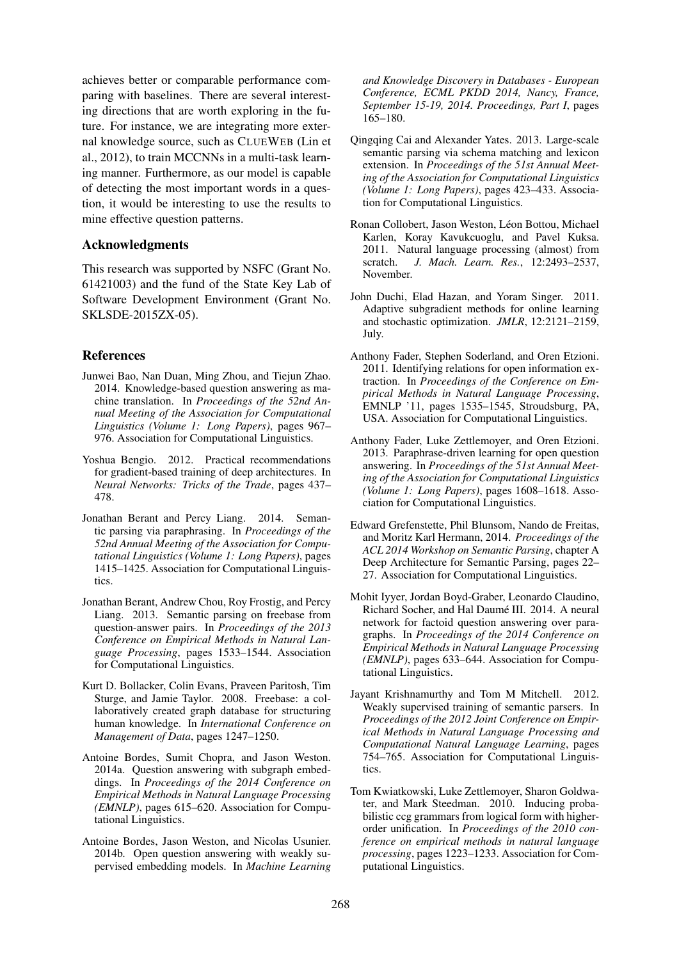achieves better or comparable performance comparing with baselines. There are several interesting directions that are worth exploring in the future. For instance, we are integrating more external knowledge source, such as CLUEWEB (Lin et al., 2012), to train MCCNNs in a multi-task learning manner. Furthermore, as our model is capable of detecting the most important words in a question, it would be interesting to use the results to mine effective question patterns.

### Acknowledgments

This research was supported by NSFC (Grant No. 61421003) and the fund of the State Key Lab of Software Development Environment (Grant No. SKLSDE-2015ZX-05).

### References

- Junwei Bao, Nan Duan, Ming Zhou, and Tiejun Zhao. 2014. Knowledge-based question answering as machine translation. In *Proceedings of the 52nd Annual Meeting of the Association for Computational Linguistics (Volume 1: Long Papers)*, pages 967– 976. Association for Computational Linguistics.
- Yoshua Bengio. 2012. Practical recommendations for gradient-based training of deep architectures. In *Neural Networks: Tricks of the Trade*, pages 437– 478.
- Jonathan Berant and Percy Liang. 2014. Semantic parsing via paraphrasing. In *Proceedings of the 52nd Annual Meeting of the Association for Computational Linguistics (Volume 1: Long Papers)*, pages 1415–1425. Association for Computational Linguistics.
- Jonathan Berant, Andrew Chou, Roy Frostig, and Percy Liang. 2013. Semantic parsing on freebase from question-answer pairs. In *Proceedings of the 2013 Conference on Empirical Methods in Natural Language Processing*, pages 1533–1544. Association for Computational Linguistics.
- Kurt D. Bollacker, Colin Evans, Praveen Paritosh, Tim Sturge, and Jamie Taylor. 2008. Freebase: a collaboratively created graph database for structuring human knowledge. In *International Conference on Management of Data*, pages 1247–1250.
- Antoine Bordes, Sumit Chopra, and Jason Weston. 2014a. Question answering with subgraph embeddings. In *Proceedings of the 2014 Conference on Empirical Methods in Natural Language Processing (EMNLP)*, pages 615–620. Association for Computational Linguistics.
- Antoine Bordes, Jason Weston, and Nicolas Usunier. 2014b. Open question answering with weakly supervised embedding models. In *Machine Learning*

*and Knowledge Discovery in Databases - European Conference, ECML PKDD 2014, Nancy, France, September 15-19, 2014. Proceedings, Part I*, pages 165–180.

- Qingqing Cai and Alexander Yates. 2013. Large-scale semantic parsing via schema matching and lexicon extension. In *Proceedings of the 51st Annual Meeting of the Association for Computational Linguistics (Volume 1: Long Papers)*, pages 423–433. Association for Computational Linguistics.
- Ronan Collobert, Jason Weston, Léon Bottou, Michael Karlen, Koray Kavukcuoglu, and Pavel Kuksa. 2011. Natural language processing (almost) from scratch. *J. Mach. Learn. Res.*, 12:2493–2537, November.
- John Duchi, Elad Hazan, and Yoram Singer. 2011. Adaptive subgradient methods for online learning and stochastic optimization. *JMLR*, 12:2121–2159, July.
- Anthony Fader, Stephen Soderland, and Oren Etzioni. 2011. Identifying relations for open information extraction. In *Proceedings of the Conference on Empirical Methods in Natural Language Processing*, EMNLP '11, pages 1535–1545, Stroudsburg, PA, USA. Association for Computational Linguistics.
- Anthony Fader, Luke Zettlemoyer, and Oren Etzioni. 2013. Paraphrase-driven learning for open question answering. In *Proceedings of the 51st Annual Meeting of the Association for Computational Linguistics (Volume 1: Long Papers)*, pages 1608–1618. Association for Computational Linguistics.
- Edward Grefenstette, Phil Blunsom, Nando de Freitas, and Moritz Karl Hermann, 2014. *Proceedings of the ACL 2014 Workshop on Semantic Parsing*, chapter A Deep Architecture for Semantic Parsing, pages 22– 27. Association for Computational Linguistics.
- Mohit Iyyer, Jordan Boyd-Graber, Leonardo Claudino, Richard Socher, and Hal Daumé III. 2014. A neural network for factoid question answering over paragraphs. In *Proceedings of the 2014 Conference on Empirical Methods in Natural Language Processing (EMNLP)*, pages 633–644. Association for Computational Linguistics.
- Jayant Krishnamurthy and Tom M Mitchell. 2012. Weakly supervised training of semantic parsers. In *Proceedings of the 2012 Joint Conference on Empirical Methods in Natural Language Processing and Computational Natural Language Learning*, pages 754–765. Association for Computational Linguistics.
- Tom Kwiatkowski, Luke Zettlemoyer, Sharon Goldwater, and Mark Steedman. 2010. Inducing probabilistic ccg grammars from logical form with higherorder unification. In *Proceedings of the 2010 conference on empirical methods in natural language processing*, pages 1223–1233. Association for Computational Linguistics.